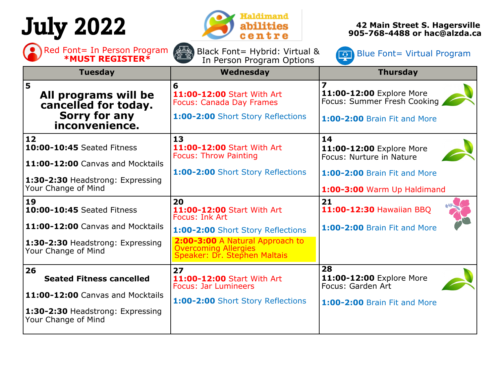# July 2022



Black Font= Hybrid: Virtual &

**42 Main Street S. Hagersville 905-768-4488 or hac@alzda.ca**

Red Font= In Person Program ( $\frac{1}{2}$ ) Black Font= Hybrid: Virtual & Blue Font= Virtual Program **\*MUST REGISTER\*** In Person Program Options

| <b>*MUST REGISTER*</b>                                                                      | In Person Program Options                                                                                                           |                                                                                                |
|---------------------------------------------------------------------------------------------|-------------------------------------------------------------------------------------------------------------------------------------|------------------------------------------------------------------------------------------------|
| <b>Tuesday</b>                                                                              | Wednesday                                                                                                                           | <b>Thursday</b>                                                                                |
| 5<br>All programs will be<br>cancelled for today.<br>Sorry for any<br>inconvenience.        | 6<br>11:00-12:00 Start With Art<br><b>Focus: Canada Day Frames</b><br>1:00-2:00 Short Story Reflections                             | 11:00-12:00 Explore More<br>Focus: Summer Fresh Cooking<br><b>1:00-2:00 Brain Fit and More</b> |
| 12<br>10:00-10:45 Seated Fitness<br>11:00-12:00 Canvas and Mocktails                        | 13<br>11:00-12:00 Start With Art<br><b>Focus: Throw Painting</b>                                                                    | 14<br>11:00-12:00 Explore More<br>Focus: Nurture in Nature                                     |
| 1:30-2:30 Headstrong: Expressing<br>Your Change of Mind                                     | 1:00-2:00 Short Story Reflections                                                                                                   | <b>1:00-2:00 Brain Fit and More</b><br>1:00-3:00 Warm Up Haldimand                             |
| 19<br>10:00-10:45 Seated Fitness                                                            | 20<br>11:00-12:00 Start With Art<br>Focus: Ink Art                                                                                  | 21<br>11:00-12:30 Hawaiian BBQ                                                                 |
| 11:00-12:00 Canvas and Mocktails<br>1:30-2:30 Headstrong: Expressing<br>Your Change of Mind | 1:00-2:00 Short Story Reflections<br>2:00-3:00 A Natural Approach to<br><b>Overcoming Allergies</b><br>Speaker: Dr. Stephen Maltais | 1:00-2:00 Brain Fit and More                                                                   |
| 26<br><b>Seated Fitness cancelled</b>                                                       | 27<br>11:00-12:00 Start With Art<br><b>Focus: Jar Lumineers</b>                                                                     | 28<br>11:00-12:00 Explore More<br>Focus: Garden Art                                            |
| 11:00-12:00 Canvas and Mocktails<br>1:30-2:30 Headstrong: Expressing<br>Your Change of Mind | 1:00-2:00 Short Story Reflections                                                                                                   | <b>1:00-2:00 Brain Fit and More</b>                                                            |